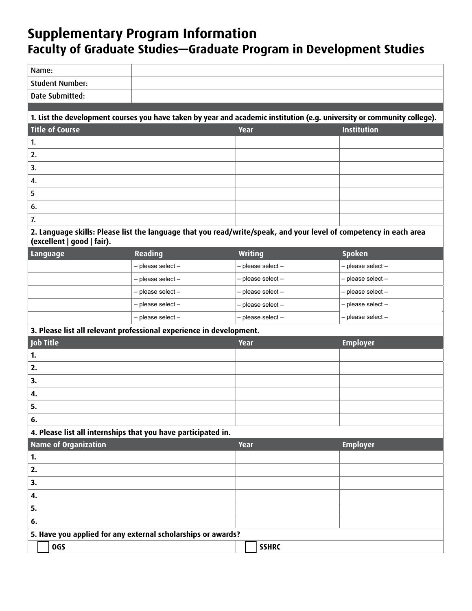## **Supplementary Program Information Faculty of Graduate Studies—Graduate Program in Development Studies**

| Name:                                                                                                                                           |                                                                                                                         |                   |                    |  |
|-------------------------------------------------------------------------------------------------------------------------------------------------|-------------------------------------------------------------------------------------------------------------------------|-------------------|--------------------|--|
| <b>Student Number:</b>                                                                                                                          |                                                                                                                         |                   |                    |  |
| Date Submitted:                                                                                                                                 |                                                                                                                         |                   |                    |  |
|                                                                                                                                                 |                                                                                                                         |                   |                    |  |
|                                                                                                                                                 | 1. List the development courses you have taken by year and academic institution (e.g. university or community college). |                   |                    |  |
| <b>Title of Course</b>                                                                                                                          |                                                                                                                         | Year              | <b>Institution</b> |  |
| 1.                                                                                                                                              |                                                                                                                         |                   |                    |  |
| 2.                                                                                                                                              |                                                                                                                         |                   |                    |  |
| 3.                                                                                                                                              |                                                                                                                         |                   |                    |  |
| 4.                                                                                                                                              |                                                                                                                         |                   |                    |  |
| 5                                                                                                                                               |                                                                                                                         |                   |                    |  |
| 6.                                                                                                                                              |                                                                                                                         |                   |                    |  |
| 7.                                                                                                                                              |                                                                                                                         |                   |                    |  |
| 2. Language skills: Please list the language that you read/write/speak, and your level of competency in each area<br>(excellent   good   fair). |                                                                                                                         |                   |                    |  |
| Language                                                                                                                                        | Reading                                                                                                                 | <b>Writing</b>    | <b>Spoken</b>      |  |
|                                                                                                                                                 | - please select -                                                                                                       | - please select-  | - please select-   |  |
|                                                                                                                                                 | - please select -                                                                                                       | - please select - | - please select-   |  |
|                                                                                                                                                 | - please select -                                                                                                       | - please select-  | - please select-   |  |
|                                                                                                                                                 | - please select -                                                                                                       | - please select-  | - please select-   |  |
|                                                                                                                                                 | - please select -                                                                                                       | - please select-  | - please select-   |  |
|                                                                                                                                                 | 3. Please list all relevant professional experience in development.                                                     |                   |                    |  |
| Job Title                                                                                                                                       |                                                                                                                         | Year              | <b>Employer</b>    |  |
| 1.                                                                                                                                              |                                                                                                                         |                   |                    |  |
| 2.                                                                                                                                              |                                                                                                                         |                   |                    |  |
| 3.                                                                                                                                              |                                                                                                                         |                   |                    |  |
| 4.                                                                                                                                              |                                                                                                                         |                   |                    |  |
| 5.                                                                                                                                              |                                                                                                                         |                   |                    |  |
| 6.                                                                                                                                              |                                                                                                                         |                   |                    |  |
| 4. Please list all internships that you have participated in.                                                                                   |                                                                                                                         |                   |                    |  |
| <b>Name of Organization</b>                                                                                                                     |                                                                                                                         | Year              | <b>Employer</b>    |  |
| 1.                                                                                                                                              |                                                                                                                         |                   |                    |  |
| 2.                                                                                                                                              |                                                                                                                         |                   |                    |  |
| 3.                                                                                                                                              |                                                                                                                         |                   |                    |  |
| 4.                                                                                                                                              |                                                                                                                         |                   |                    |  |
| 5.                                                                                                                                              |                                                                                                                         |                   |                    |  |
| 6.                                                                                                                                              |                                                                                                                         |                   |                    |  |
| 5. Have you applied for any external scholarships or awards?                                                                                    |                                                                                                                         |                   |                    |  |
| <b>OGS</b>                                                                                                                                      |                                                                                                                         | <b>SSHRC</b>      |                    |  |